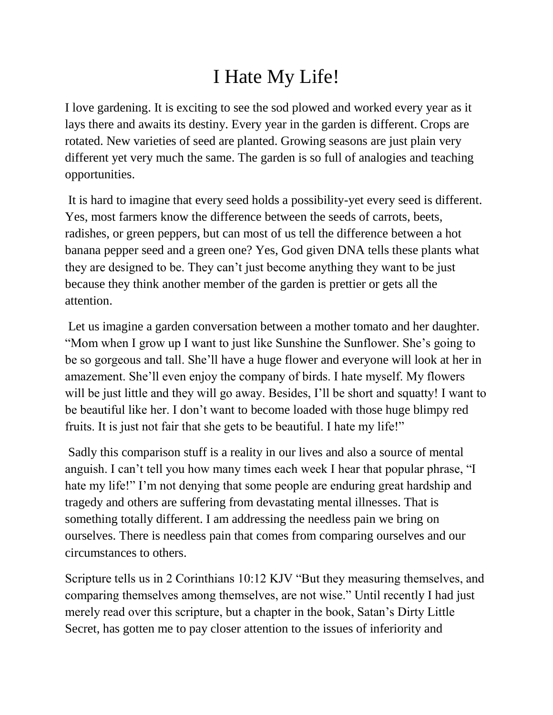## I Hate My Life!

I love gardening. It is exciting to see the sod plowed and worked every year as it lays there and awaits its destiny. Every year in the garden is different. Crops are rotated. New varieties of seed are planted. Growing seasons are just plain very different yet very much the same. The garden is so full of analogies and teaching opportunities.

It is hard to imagine that every seed holds a possibility-yet every seed is different. Yes, most farmers know the difference between the seeds of carrots, beets, radishes, or green peppers, but can most of us tell the difference between a hot banana pepper seed and a green one? Yes, God given DNA tells these plants what they are designed to be. They can't just become anything they want to be just because they think another member of the garden is prettier or gets all the attention.

Let us imagine a garden conversation between a mother tomato and her daughter. "Mom when I grow up I want to just like Sunshine the Sunflower. She's going to be so gorgeous and tall. She'll have a huge flower and everyone will look at her in amazement. She'll even enjoy the company of birds. I hate myself. My flowers will be just little and they will go away. Besides, I'll be short and squatty! I want to be beautiful like her. I don't want to become loaded with those huge blimpy red fruits. It is just not fair that she gets to be beautiful. I hate my life!"

Sadly this comparison stuff is a reality in our lives and also a source of mental anguish. I can't tell you how many times each week I hear that popular phrase, "I hate my life!" I'm not denying that some people are enduring great hardship and tragedy and others are suffering from devastating mental illnesses. That is something totally different. I am addressing the needless pain we bring on ourselves. There is needless pain that comes from comparing ourselves and our circumstances to others.

Scripture tells us in 2 Corinthians 10:12 KJV "But they measuring themselves, and comparing themselves among themselves, are not wise." Until recently I had just merely read over this scripture, but a chapter in the book, Satan's Dirty Little Secret, has gotten me to pay closer attention to the issues of inferiority and